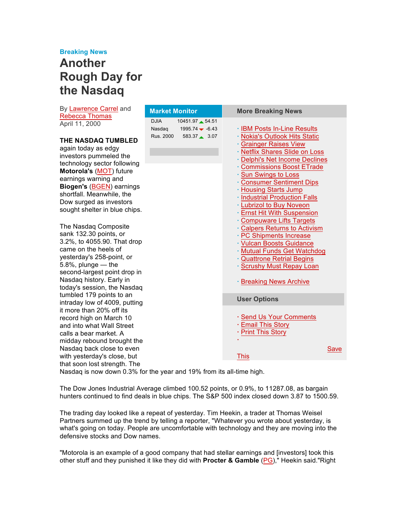## **Breaking News**

## **Another Rough Day for the Nasdaq**

By Lawrence Carrel and Rebecca Thomas

| <b>INDUCTA</b> INCHINU          |             |                  |                                                         |      |
|---------------------------------|-------------|------------------|---------------------------------------------------------|------|
| April 11, 2000                  | <b>DJIA</b> | 10451.97 54.51   |                                                         |      |
|                                 | Nasdaq      | $1995.74 - 6.43$ | · IBM Posts In-Line Results                             |      |
| THE NASDAQ TUMBLED              | Rus. 2000   | 583.37 3.07      | · Nokia's Outlook Hits Static                           |      |
| again today as edgy             |             |                  | · Grainger Raises View                                  |      |
| investors pummeled the          |             |                  | · Netflix Shares Slide on Loss                          |      |
| technology sector following     |             |                  | · Delphi's Net Income Declines                          |      |
| Motorola's (MOT) future         |             |                  | <b>Commissions Boost ETrade</b>                         |      |
| earnings warning and            |             |                  | · Sun Swings to Loss                                    |      |
| <b>Biogen's (BGEN) earnings</b> |             |                  | <b>Consumer Sentiment Dips</b>                          |      |
| shortfall. Meanwhile, the       |             |                  | <b>· Housing Starts Jump</b>                            |      |
| Dow surged as investors         |             |                  | · Industrial Production Falls                           |      |
| sought shelter in blue chips.   |             |                  | · Lubrizol to Buy Noveon                                |      |
|                                 |             |                  | <b>Ernst Hit With Suspension</b>                        |      |
| The Nasdaq Composite            |             |                  | · Compuware Lifts Targets                               |      |
| sank 132.30 points, or          |             |                  | · Calpers Returns to Activism                           |      |
| 3.2%, to 4055.90. That drop     |             |                  | · PC Shipments Increase                                 |      |
| came on the heels of            |             |                  | · Vulcan Boosts Guidance                                |      |
| yesterday's 258-point, or       |             |                  | · Mutual Funds Get Watchdog                             |      |
| $5.8\%$ , plunge $-$ the        |             |                  | · Quattrone Retrial Begins<br>· Scrushy Must Repay Loan |      |
| second-largest point drop in    |             |                  |                                                         |      |
| Nasdaq history. Early in        |             |                  | <b>· Breaking News Archive</b>                          |      |
| today's session, the Nasdaq     |             |                  |                                                         |      |
| tumbled 179 points to an        |             |                  |                                                         |      |
| intraday low of 4009, putting   |             |                  | <b>User Options</b>                                     |      |
| it more than 20% off its        |             |                  |                                                         |      |
| record high on March 10         |             |                  | · Send Us Your Comments                                 |      |
| and into what Wall Street       |             |                  | · Email This Story                                      |      |
| calls a bear market. A          |             |                  | · Print This Story                                      |      |
| midday rebound brought the      |             |                  |                                                         |      |
| Nasdaq back close to even       |             |                  |                                                         | Save |
| with yesterday's close, but     |             |                  | This                                                    |      |
| that soon lost strength. The    |             |                  |                                                         |      |

**More Breaking News**

**Market Monitor**

Nasdaq is now down 0.3% for the year and 19% from its all-time high.

The Dow Jones Industrial Average climbed 100.52 points, or 0.9%, to 11287.08, as bargain hunters continued to find deals in blue chips. The S&P 500 index closed down 3.87 to 1500.59.

The trading day looked like a repeat of yesterday. Tim Heekin, a trader at Thomas Weisel Partners summed up the trend by telling a reporter, "Whatever you wrote about yesterday, is what's going on today. People are uncomfortable with technology and they are moving into the defensive stocks and Dow names.

"Motorola is an example of a good company that had stellar earnings and [investors] took this other stuff and they punished it like they did with **Procter & Gamble** (PG)," Heekin said."Right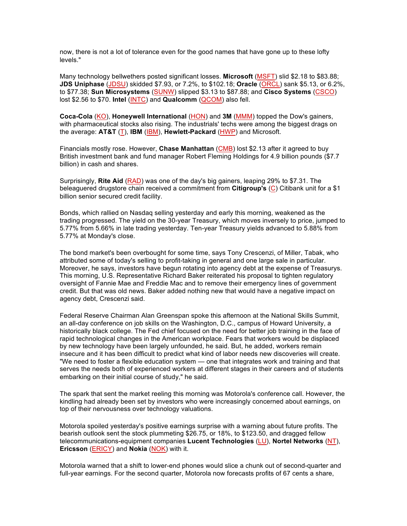now, there is not a lot of tolerance even for the good names that have gone up to these lofty levels."

Many technology bellwethers posted significant losses. **Microsoft** (MSFT) slid \$2.18 to \$83.88; **JDS Uniphase** (JDSU) skidded \$7.93, or 7.2%, to \$102.18; **Oracle** (ORCL) sank \$5.13, or 6.2%, to \$77.38; **Sun Microsystems** (SUNW) slipped \$3.13 to \$87.88; and **Cisco Systems** (CSCO) lost \$2.56 to \$70. **Intel** (INTC) and **Qualcomm** (QCOM) also fell.

**Coca-Cola** (KO), **Honeywell International** (HON) and **3M** (MMM) topped the Dow's gainers, with pharmaceutical stocks also rising. The industrials' techs were among the biggest drags on the average: **AT&T** (T), **IBM** (IBM), **Hewlett-Packard** (HWP) and Microsoft.

Financials mostly rose. However, **Chase Manhattan** (CMB) lost \$2.13 after it agreed to buy British investment bank and fund manager Robert Fleming Holdings for 4.9 billion pounds (\$7.7 billion) in cash and shares.

Surprisingly, **Rite Aid** (RAD) was one of the day's big gainers, leaping 29% to \$7.31. The beleaguered drugstore chain received a commitment from **Citigroup's** (C) Citibank unit for a \$1 billion senior secured credit facility.

Bonds, which rallied on Nasdaq selling yesterday and early this morning, weakened as the trading progressed. The yield on the 30-year Treasury, which moves inversely to price, jumped to 5.77% from 5.66% in late trading yesterday. Ten-year Treasury yields advanced to 5.88% from 5.77% at Monday's close.

The bond market's been overbought for some time, says Tony Crescenzi, of Miller, Tabak, who attributed some of today's selling to profit-taking in general and one large sale in particular. Moreover, he says, investors have begun rotating into agency debt at the expense of Treasurys. This morning, U.S. Representative Richard Baker reiterated his proposal to tighten regulatory oversight of Fannie Mae and Freddie Mac and to remove their emergency lines of government credit. But that was old news. Baker added nothing new that would have a negative impact on agency debt, Crescenzi said.

Federal Reserve Chairman Alan Greenspan spoke this afternoon at the National Skills Summit, an all-day conference on job skills on the Washington, D.C., campus of Howard University, a historically black college. The Fed chief focused on the need for better job training in the face of rapid technological changes in the American workplace. Fears that workers would be displaced by new technology have been largely unfounded, he said. But, he added, workers remain insecure and it has been difficult to predict what kind of labor needs new discoveries will create. "We need to foster a flexible education system — one that integrates work and training and that serves the needs both of experienced workers at different stages in their careers and of students embarking on their initial course of study," he said.

The spark that sent the market reeling this morning was Motorola's conference call. However, the kindling had already been set by investors who were increasingly concerned about earnings, on top of their nervousness over technology valuations.

Motorola spoiled yesterday's positive earnings surprise with a warning about future profits. The bearish outlook sent the stock plummeting \$26.75, or 18%, to \$123.50, and dragged fellow telecommunications-equipment companies **Lucent Technologies** (LU), **Nortel Networks** (NT), **Ericsson** (ERICY) and **Nokia** (NOK) with it.

Motorola warned that a shift to lower-end phones would slice a chunk out of second-quarter and full-year earnings. For the second quarter, Motorola now forecasts profits of 67 cents a share,